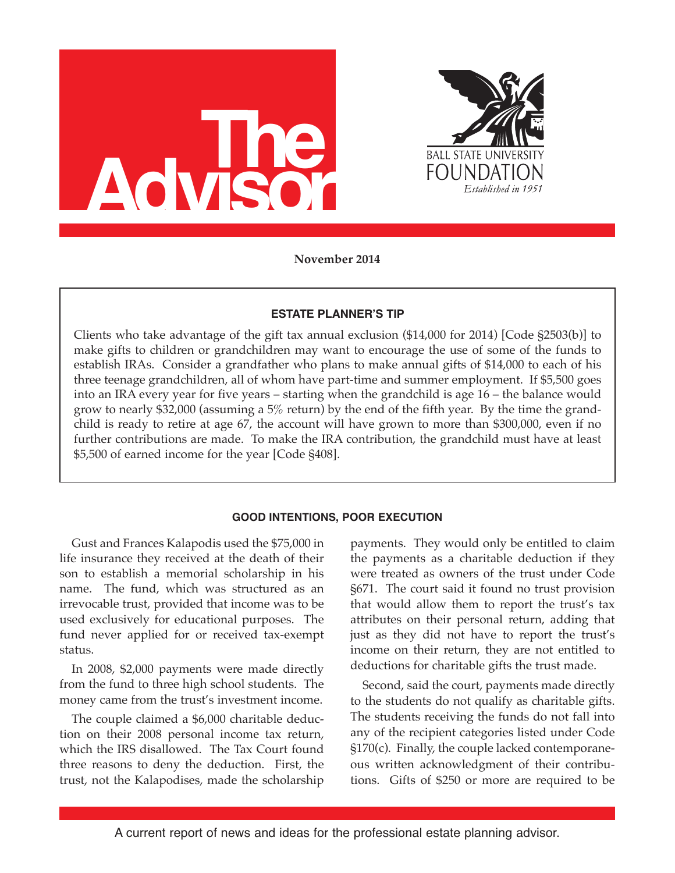



**November 2014**

### **ESTATE PLANNER'S TIP**

Clients who take advantage of the gift tax annual exclusion (\$14,000 for 2014) [Code §2503(b)] to make gifts to children or grandchildren may want to encourage the use of some of the funds to establish IRAs. Consider a grandfather who plans to make annual gifts of \$14,000 to each of his three teenage grandchildren, all of whom have part-time and summer employment. If \$5,500 goes into an IRA every year for five years – starting when the grandchild is age 16 – the balance would grow to nearly \$32,000 (assuming a 5% return) by the end of the fifth year. By the time the grandchild is ready to retire at age 67, the account will have grown to more than \$300,000, even if no further contributions are made. To make the IRA contribution, the grandchild must have at least \$5,500 of earned income for the year [Code §408].

# **GOOD INTENTIONS, POOR EXECUTION**

Gust and Frances Kalapodis used the \$75,000 in life insurance they received at the death of their son to establish a memorial scholarship in his name. The fund, which was structured as an irrevocable trust, provided that income was to be used exclusively for educational purposes. The fund never applied for or received tax-exempt status.

In 2008, \$2,000 payments were made directly from the fund to three high school students. The money came from the trust's investment income.

The couple claimed a \$6,000 charitable deduction on their 2008 personal income tax return, which the IRS disallowed. The Tax Court found three reasons to deny the deduction. First, the trust, not the Kalapodises, made the scholarship payments. They would only be entitled to claim the payments as a charitable deduction if they were treated as owners of the trust under Code §671. The court said it found no trust provision that would allow them to report the trust's tax attributes on their personal return, adding that just as they did not have to report the trust's income on their return, they are not entitled to deductions for charitable gifts the trust made.

Second, said the court, payments made directly to the students do not qualify as charitable gifts. The students receiving the funds do not fall into any of the recipient categories listed under Code §170(c). Finally, the couple lacked contemporaneous written acknowledgment of their contributions. Gifts of \$250 or more are required to be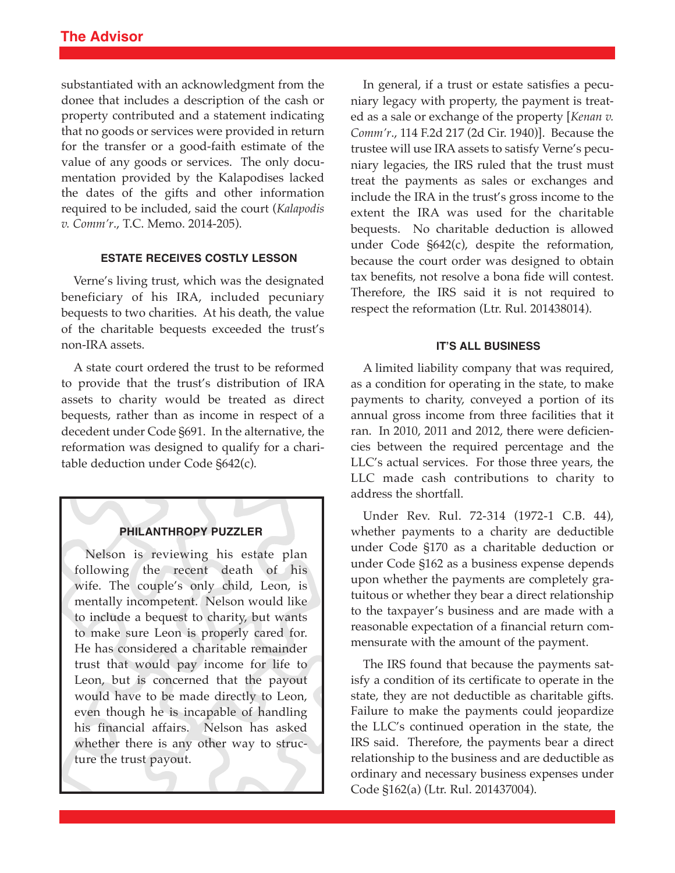substantiated with an acknowledgment from the donee that includes a description of the cash or property contributed and a statement indicating that no goods or services were provided in return for the transfer or a good-faith estimate of the value of any goods or services. The only documentation provided by the Kalapodises lacked the dates of the gifts and other information required to be included, said the court (*Kalapodis v. Comm'r*., T.C. Memo. 2014-205).

### **ESTATE RECEIVES COSTLY LESSON**

Verne's living trust, which was the designated beneficiary of his IRA, included pecuniary bequests to two charities. At his death, the value of the charitable bequests exceeded the trust's non-IRA assets.

A state court ordered the trust to be reformed to provide that the trust's distribution of IRA assets to charity would be treated as direct bequests, rather than as income in respect of a decedent under Code §691. In the alternative, the reformation was designed to qualify for a charitable deduction under Code §642(c).

### **PHILANTHROPY PUZZLER**

Nelson is reviewing his estate plan following the recent death of his wife. The couple's only child, Leon, is mentally incompetent. Nelson would like to include a bequest to charity, but wants to make sure Leon is properly cared for. He has considered a charitable remainder trust that would pay income for life to Leon, but is concerned that the payout would have to be made directly to Leon, even though he is incapable of handling his financial affairs. Nelson has asked whether there is any other way to structure the trust payout.

In general, if a trust or estate satisfies a pecuniary legacy with property, the payment is treated as a sale or exchange of the property [*Kenan v. Comm'r*., 114 F.2d 217 (2d Cir. 1940)]. Because the trustee will use IRA assets to satisfy Verne's pecuniary legacies, the IRS ruled that the trust must treat the payments as sales or exchanges and include the IRA in the trust's gross income to the extent the IRA was used for the charitable bequests. No charitable deduction is allowed under Code §642(c), despite the reformation, because the court order was designed to obtain tax benefits, not resolve a bona fide will contest. Therefore, the IRS said it is not required to respect the reformation (Ltr. Rul. 201438014).

#### **IT'S ALL BUSINESS**

A limited liability company that was required, as a condition for operating in the state, to make payments to charity, conveyed a portion of its annual gross income from three facilities that it ran. In 2010, 2011 and 2012, there were deficiencies between the required percentage and the LLC's actual services. For those three years, the LLC made cash contributions to charity to address the shortfall.

Under Rev. Rul. 72-314 (1972-1 C.B. 44), whether payments to a charity are deductible under Code §170 as a charitable deduction or under Code §162 as a business expense depends upon whether the payments are completely gratuitous or whether they bear a direct relationship to the taxpayer's business and are made with a reasonable expectation of a financial return commensurate with the amount of the payment.

The IRS found that because the payments satisfy a condition of its certificate to operate in the state, they are not deductible as charitable gifts. Failure to make the payments could jeopardize the LLC's continued operation in the state, the IRS said. Therefore, the payments bear a direct relationship to the business and are deductible as ordinary and necessary business expenses under Code §162(a) (Ltr. Rul. 201437004).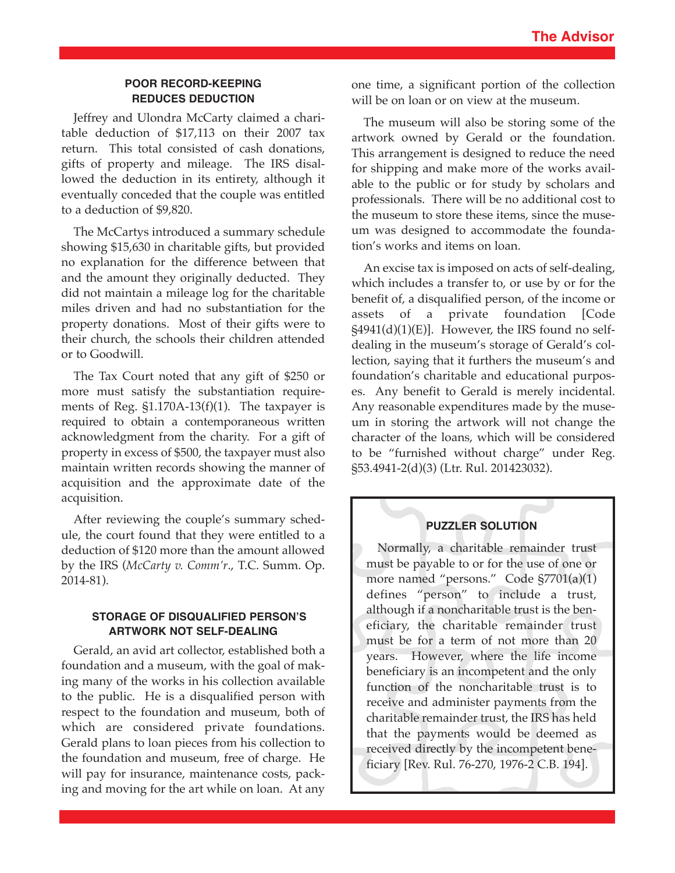# **POOR RECORD-KEEPING REDUCES DEDUCTION**

Jeffrey and Ulondra McCarty claimed a charitable deduction of \$17,113 on their 2007 tax return. This total consisted of cash donations, gifts of property and mileage. The IRS disallowed the deduction in its entirety, although it eventually conceded that the couple was entitled to a deduction of \$9,820.

The McCartys introduced a summary schedule showing \$15,630 in charitable gifts, but provided no explanation for the difference between that and the amount they originally deducted. They did not maintain a mileage log for the charitable miles driven and had no substantiation for the property donations. Most of their gifts were to their church, the schools their children attended or to Goodwill.

The Tax Court noted that any gift of \$250 or more must satisfy the substantiation requirements of Reg. §1.170A-13(f)(1). The taxpayer is required to obtain a contemporaneous written acknowledgment from the charity. For a gift of property in excess of \$500, the taxpayer must also maintain written records showing the manner of acquisition and the approximate date of the acquisition.

After reviewing the couple's summary schedule, the court found that they were entitled to a deduction of \$120 more than the amount allowed by the IRS (*McCarty v. Comm'r*., T.C. Summ. Op. 2014-81).

## **STORAGE OF DISQUALIFIED PERSON'S ARTWORK NOT SELF-DEALING**

Gerald, an avid art collector, established both a foundation and a museum, with the goal of making many of the works in his collection available to the public. He is a disqualified person with respect to the foundation and museum, both of which are considered private foundations. Gerald plans to loan pieces from his collection to the foundation and museum, free of charge. He will pay for insurance, maintenance costs, packing and moving for the art while on loan. At any

one time, a significant portion of the collection will be on loan or on view at the museum.

The museum will also be storing some of the artwork owned by Gerald or the foundation. This arrangement is designed to reduce the need for shipping and make more of the works available to the public or for study by scholars and professionals. There will be no additional cost to the museum to store these items, since the museum was designed to accommodate the foundation's works and items on loan.

An excise tax is imposed on acts of self-dealing, which includes a transfer to, or use by or for the benefit of, a disqualified person, of the income or assets of a private foundation [Code  $\S4941(d)(1)(E)$ . However, the IRS found no selfdealing in the museum's storage of Gerald's collection, saying that it furthers the museum's and foundation's charitable and educational purposes. Any benefit to Gerald is merely incidental. Any reasonable expenditures made by the museum in storing the artwork will not change the character of the loans, which will be considered to be "furnished without charge" under Reg. §53.4941-2(d)(3) (Ltr. Rul. 201423032).

# **PUZZLER SOLUTION**

Normally, a charitable remainder trust must be payable to or for the use of one or more named "persons." Code §7701(a)(1) defines "person" to include a trust, although if a noncharitable trust is the beneficiary, the charitable remainder trust must be for a term of not more than 20 years. However, where the life income beneficiary is an incompetent and the only function of the noncharitable trust is to receive and administer payments from the charitable remainder trust, the IRS has held that the payments would be deemed as received directly by the incompetent beneficiary [Rev. Rul. 76-270, 1976-2 C.B. 194].